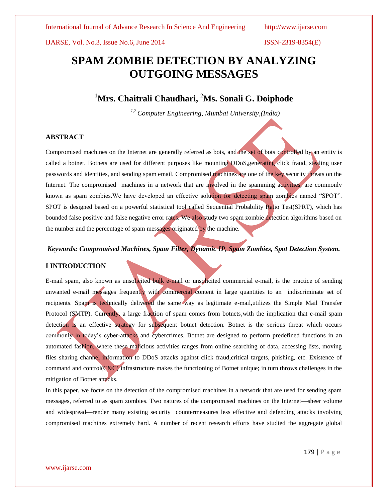IJARSE, Vol. No.3, Issue No.6, June 2014 ISSN-2319-8354(E)

# **SPAM ZOMBIE DETECTION BY ANALYZING OUTGOING MESSAGES**

## **<sup>1</sup>Mrs. Chaitrali Chaudhari, <sup>2</sup>Ms. Sonali G. Doiphode**

*1,2 Computer Engineering, Mumbai University,(India)*

### **ABSTRACT**

Compromised machines on the Internet are generally referred as bots, and the set of bots controlled by an entity is called a botnet. Botnets are used for different purposes like mounting DDoS,generating click fraud, stealing user passwords and identities, and sending spam email. Compromised machines are one of the key security threats on the Internet. The compromised machines in a network that are involved in the spamming activities, are commonly known as spam zombies.We have developed an effective solution for detecting spam zombies named "SPOT". SPOT is designed based on a powerful statistical tool called Sequential Probability Ratio Test(SPRT), which has bounded false positive and false negative error rates. We also study two spam zombie detection algorithms based on the number and the percentage of spam messages originated by the machine.

### *Keywords: Compromised Machines, Spam Filter, Dynamic IP, Spam Zombies, Spot Detection System.*

### **I INTRODUCTION**

E-mail spam, also known as unsolicited bulk e-mail or unsolicited commercial e-mail, is the practice of sending unwanted e-mail messages frequently with commercial content in large quantities to an indiscriminate set of recipients. Spam is technically delivered the same way as legitimate e-mail,utilizes the Simple Mail Transfer Protocol (SMTP). Currently, a large fraction of spam comes from botnets, with the implication that e-mail spam detection is an effective strategy for subsequent botnet detection. Botnet is the serious threat which occurs commonly in today's cyber-attacks and cybercrimes. Botnet are designed to perform predefined functions in an automated fashion, where these malicious activities ranges from online searching of data, accessing lists, moving files sharing channel information to DDoS attacks against click fraud,critical targets, phishing, etc. Existence of command and control( $C&C$ ) infrastructure makes the functioning of Botnet unique; in turn throws challenges in the mitigation of Botnet attacks.

In this paper, we focus on the detection of the compromised machines in a network that are used for sending spam messages, referred to as spam zombies. Two natures of the compromised machines on the Internet—sheer volume and widespread—render many existing security countermeasures less effective and defending attacks involving compromised machines extremely hard. A number of recent research efforts have studied the aggregate global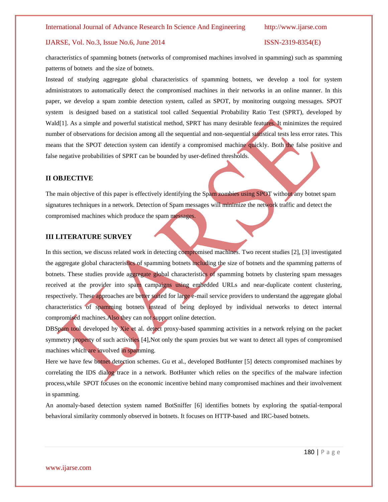### IJARSE, Vol. No.3, Issue No.6, June 2014 ISSN-2319-8354(E)

characteristics of spamming botnets (networks of compromised machines involved in spamming) such as spamming patterns of botnets and the size of botnets.

Instead of studying aggregate global characteristics of spamming botnets, we develop a tool for system administrators to automatically detect the compromised machines in their networks in an online manner. In this paper, we develop a spam zombie detection system, called as SPOT, by monitoring outgoing messages. SPOT system is designed based on a statistical tool called Sequential Probability Ratio Test (SPRT), developed by Wald[1]. As a simple and powerful statistical method, SPRT has many desirable features. It minimizes the required number of observations for decision among all the sequential and non-sequential statistical tests less error rates. This means that the SPOT detection system can identify a compromised machine quickly. Both the false positive and false negative probabilities of SPRT can be bounded by user-defined thresholds.

### **II OBJECTIVE**

www.ijarse.com

The main objective of this paper is effectively identifying the Spam zombies using SPOT without any botnet spam signatures techniques in a network. Detection of Spam messages will minimize the network traffic and detect the compromised machines which produce the spam messages.

### **III LITERATURE SURVEY**

In this section, we discuss related work in detecting compromised machines. Two recent studies [2], [3] investigated the aggregate global characteristics of spamming botnets including the size of botnets and the spamming patterns of botnets. These studies provide aggregate global characteristics of spamming botnets by clustering spam messages received at the provider into spam campaigns using embedded URLs and near-duplicate content clustering, respectively. These approaches are better suited for large e-mail service providers to understand the aggregate global characteristics of spamming botnets instead of being deployed by individual networks to detect internal compromised machines.Also they can not support online detection.

DBSpam tool developed by Xie et al. detect proxy-based spamming activities in a network relying on the packet symmetry property of such activities [4], Not only the spam proxies but we want to detect all types of compromised machines which are involved in spamming.

Here we have few botnet detection schemes. Gu et al., developed BotHunter [5] detects compromised machines by correlating the IDS dialog trace in a network. BotHunter which relies on the specifics of the malware infection process,while SPOT focuses on the economic incentive behind many compromised machines and their involvement in spamming.

An anomaly-based detection system named BotSniffer [6] identifies botnets by exploring the spatial-temporal behavioral similarity commonly observed in botnets. It focuses on HTTP-based and IRC-based botnets.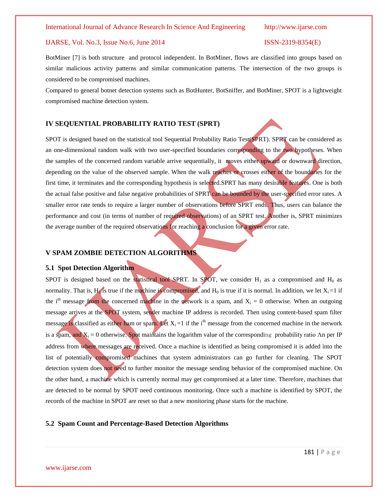### International Journal of Advance Research In Science And Engineering http://www.ijarse.com

### IJARSE, Vol. No.3, Issue No.6, June 2014 ISSN-2319-8354(E)

BotMiner [7] is both structure and protocol independent. In BotMiner, flows are classified into groups based on similar malicious activity patterns and similar communication patterns. The intersection of the two groups is considered to be compromised machines.

Compared to general botnet detection systems such as BotHunter, BotSniffer, and BotMiner, SPOT is a lightweight compromised machine detection system.

### **IV SEQUENTIAL PROBABILITY RATIO TEST (SPRT)**

SPOT is designed based on the statistical tool Sequential Probability Ratio Test(SPRT). SPRT can be considered as an one-dimensional random walk with two user-specified boundaries corresponding to the two hypotheses. When the samples of the concerned random variable arrive sequentially, it moves either upward or downward direction, depending on the value of the observed sample. When the walk reaches or crosses either of the boundaries for the first time, it terminates and the corresponding hypothesis is selected.SPRT has many desirable features. One is both the actual false positive and false negative probabilities of SPRT can be bounded by the user-specified error rates. A smaller error rate tends to require a larger number of observations before SPRT ends. Thus, users can balance the performance and cost (in terms of number of required observations) of an SPRT test. Another is, SPRT minimizes the average number of the required observations for reaching a conclusion for a given error rate.

### **V SPAM ZOMBIE DETECTION ALGORITHMS**

### **5.1 Spot Detection Algorithm**

SPOT is designed based on the statistical tool SPRT. In SPOT, we consider  $H_1$  as a compromised and  $H_0$  as normality. That is, H<sub>1</sub> is true if the machine is compromised, and H<sub>0</sub> is true if it is normal. In addition, we let  $X_i = 1$  if the i<sup>th</sup> message from the concerned machine in the network is a spam, and  $X_i = 0$  otherwise. When an outgoing message arrives at the SPOT system, sender machine IP address is recorded. Then using content-based spam filter message is classified as either ham or spam. Let  $X_i = 1$  if the i<sup>th</sup> message from the concerned machine in the network is a spam, and  $X_i = 0$  otherwise. Spot maintains the logarithm value of the corresponding probability ratio Λn per IP address from where messages are received. Once a machine is identified as being compromised it is added into the list of potentially compromised machines that system administrators can go further for cleaning. The SPOT detection system does not need to further monitor the message sending behavior of the compromised machine. On the other hand, a machine which is currently normal may get compromised at a later time. Therefore, machines that are detected to be normal by SPOT need continuous monitoring. Once such a machine is identified by SPOT, the records of the machine in SPOT are reset so that a new monitoring phase starts for the machine.

### **5.2 Spam Count and Percentage-Based Detection Algorithms**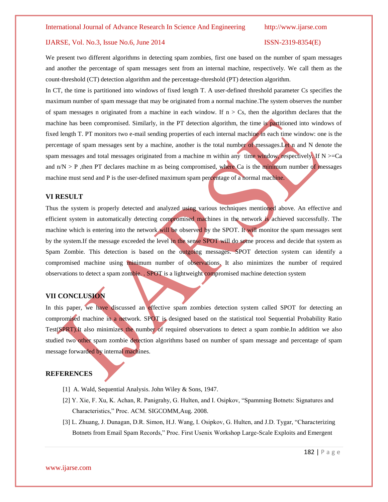### IJARSE, Vol. No.3, Issue No.6, June 2014 ISSN-2319-8354(E)

We present two different algorithms in detecting spam zombies, first one based on the number of spam messages and another the percentage of spam messages sent from an internal machine, respectively. We call them as the count-threshold (CT) detection algorithm and the percentage-threshold (PT) detection algorithm.

In CT, the time is partitioned into windows of fixed length T. A user-defined threshold parameter Cs specifies the maximum number of spam message that may be originated from a normal machine.The system observes the number of spam messages n originated from a machine in each window. If  $n > Cs$ , then the algorithm declares that the machine has been compromised. Similarly, in the PT detection algorithm, the time is partitioned into windows of fixed length T. PT monitors two e-mail sending properties of each internal machine in each time window: one is the percentage of spam messages sent by a machine, another is the total number of messages.Let n and N denote the spam messages and total messages originated from a machine m within any time window, respectively. If  $N \geq Ca$ and  $n/N > P$ , then PT declares machine m as being compromised, where Ca is the minimum number of messages machine must send and P is the user-defined maximum spam percentage of a normal machine.

### **VI RESULT**

Thus the system is properly detected and analyzed using various techniques mentioned above. An effective and efficient system in automatically detecting compromised machines in the network is achieved successfully. The machine which is entering into the network will be observed by the SPOT. It will monitor the spam messages sent by the system.If the message exceeded the level in the sense SPOT will do some process and decide that system as Spam Zombie. This detection is based on the outgoing messages. SPOT detection system can identify a compromised machine using minimum number of observations. It also minimizes the number of required observations to detect a spam zombie. . SPOT is a lightweight compromised machine detection system

### **VII CONCLUSION**

In this paper, we have discussed an effective spam zombies detection system called SPOT for detecting an compromised machine in a network. SPOT is designed based on the statistical tool Sequential Probability Ratio Test(SPRT).It also minimizes the number of required observations to detect a spam zombie.In addition we also studied two other spam zombie detection algorithms based on number of spam message and percentage of spam message forwarded by internal machines.

### **REFERENCES**

- [1] A. Wald, Sequential Analysis. John Wiley & Sons, 1947.
- [2] Y. Xie, F. Xu, K. Achan, R. Panigrahy, G. Hulten, and I. Osipkov, "Spamming Botnets: Signatures and Characteristics," Proc. ACM. SIGCOMM,Aug. 2008.
- [3] L. Zhuang, J. Dunagan, D.R. Simon, H.J. Wang, I. Osipkov, G. Hulten, and J.D. Tygar, "Characterizing Botnets from Email Spam Records," Proc. First Usenix Workshop Large-Scale Exploits and Emergent